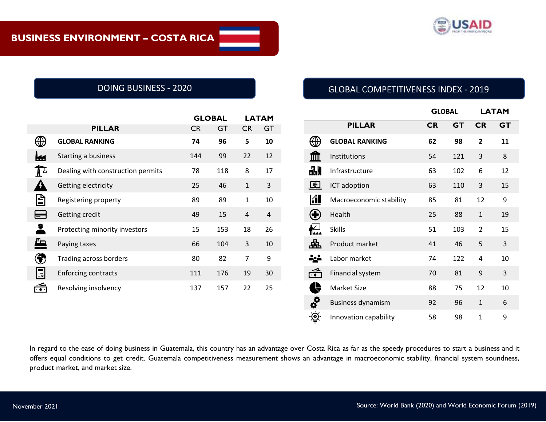

|                      |                                   |           | <b>GLOBAL</b> |                | <b>LATAM</b>   |  |
|----------------------|-----------------------------------|-----------|---------------|----------------|----------------|--|
|                      | <b>PILLAR</b>                     | <b>CR</b> | GT            | <b>CR</b>      | <b>GT</b>      |  |
|                      | <b>GLOBAL RANKING</b>             | 74        | 96            | 5              | 10             |  |
|                      | Starting a business               | 144       | 99            | 22             | 12             |  |
| $\mathbf{I}$         | Dealing with construction permits | 78        | 118           | 8              | 17             |  |
|                      | Getting electricity               | 25        | 46            | $\mathbf{1}$   | 3              |  |
| √∭                   | Registering property              | 89        | 89            | $\mathbf{1}$   | 10             |  |
|                      | Getting credit                    | 49        | 15            | $\overline{4}$ | $\overline{4}$ |  |
| 2                    | Protecting minority investors     | 15        | 153           | 18             | 26             |  |
| $\ddot{\phantom{1}}$ | Paying taxes                      | 66        | 104           | 3              | 10             |  |
|                      | Trading across borders            | 80        | 82            | 7              | 9              |  |
| ≣                    | <b>Enforcing contracts</b>        | 111       | 176           | 19             | 30             |  |
|                      | Resolving insolvency              | 137       | 157           | 22             | 25             |  |

# DOING BUSINESS - 2020 GLOBAL COMPETITIVENESS INDEX - 2019

|                              |                          |           | <b>GLOBAL</b> |                | <b>LATAM</b> |
|------------------------------|--------------------------|-----------|---------------|----------------|--------------|
|                              | <b>PILLAR</b>            | <b>CR</b> | <b>GT</b>     | <b>CR</b>      | <b>GT</b>    |
|                              | <b>GLOBAL RANKING</b>    | 62        | 98            | $\overline{2}$ | 11           |
|                              | Institutions             | 54        | 121           | 3              | 8            |
| 畾                            | Infrastructure           | 63        | 102           | 6              | 12           |
| bigcirc                      | ICT adoption             | 63        | 110           | 3              | 15           |
| <b>Kil</b>                   | Macroeconomic stability  | 85        | 81            | 12             | 9            |
|                              | Health                   | 25        | 88            | $\mathbf{1}$   | 19           |
|                              | <b>Skills</b>            | 51        | 103           | $\overline{2}$ | 15           |
| 喦                            | Product market           | 41        | 46            | 5              | 3            |
|                              | Labor market             | 74        | 122           | $\overline{4}$ | 10           |
| $\overline{\cdot\cdot\cdot}$ | Financial system         | 70        | 81            | 9              | 3            |
|                              | <b>Market Size</b>       | 88        | 75            | 12             | 10           |
| ab                           | <b>Business dynamism</b> | 92        | 96            | $\mathbf{1}$   | 6            |
| ම                            | Innovation capability    | 58        | 98            | $\mathbf{1}$   | 9            |

In regard to the ease of doing business in Guatemala, this country has an advantage over Costa Rica as far as the speedy procedures to start a business and it offers equal conditions to get credit. Guatemala competitiveness measurement shows an advantage in macroeconomic stability, financial system soundness, product market, and market size.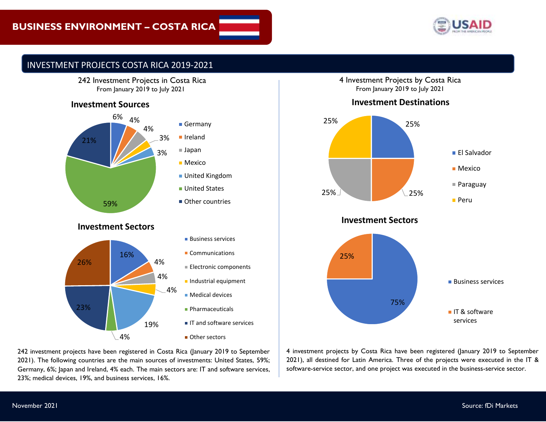

## INVESTMENT PROJECTS COSTA RICA 2019-2021



## **Investment Sources**



242 investment projects have been registered in Costa Rica (January 2019 to September 2021). The following countries are the main sources of investments: United States, 59%; Germany, 6%; Japan and Ireland, 4% each. The main sectors are: IT and software services, 23%; medical devices, 19%, and business services, 16%.

4 Investment Projects by Costa Rica From January 2019 to July 2021





**Investment Sectors**



4 investment projects by Costa Rica have been registered (January 2019 to September 2021), all destined for Latin America. Three of the projects were executed in the IT & software-service sector, and one project was executed in the business-service sector.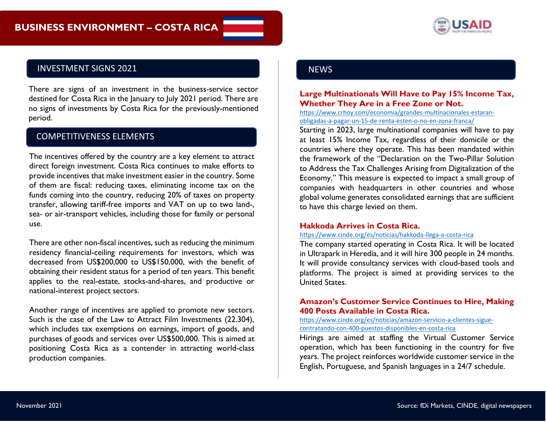

## INVESTMENT SIGNS 2021

There are signs of an investment in the business-service sector destined for Costa Rica in the January to July 2021 period. There are no signs of investments by Costa Rica for the previously-mentioned period.

## COMPETITIVENESS ELEMENTS

The incentives offered by the country are a key element to attract direct foreign investment. Costa Rica continues to make efforts to provide incentives that make investment easier in the country. Some of them are fiscal: reducing taxes, eliminating income tax on the funds coming into the country, reducing 20% of taxes on property transfer, allowing tariff-free imports and VAT on up to two land-, sea- or air-transport vehicles, including those for family or personal use.

There are other non-fiscal incentives, such as reducing the minimum residency financial-ceiling requirements for investors, which was decreased from US\$200,000 to US\$150,000, with the benefit of obtaining their resident status for a period of ten years. This benefit applies to the real-estate, stocks-and-shares, and productive or national-interest project sectors.

Septiembre 2021 Another range of incentives are applied to promote new sectors. Such is the case of the Law to Attract Film Investments (22.304), which includes tax exemptions on earnings, import of goods, and purchases of goods and services over US\$500,000. This is aimed at positioning Costa Rica as a contender in attracting world-class production companies.

### **NEWS**

### **Large Multinationals Will Have to Pay 15% Income Tax, Whether They Are in a Free Zone or Not.**

[https://www.crhoy.com/economia/grandes-multinacionales-estaran](https://www.crhoy.com/economia/grandes-multinacionales-estaran-obligadas-a-pagar-un-15-de-renta-esten-o-no-en-zona-franca/)[obligadas-a-pagar-un-15-de-renta-esten-o-no-en-zona-franca/](https://www.crhoy.com/economia/grandes-multinacionales-estaran-obligadas-a-pagar-un-15-de-renta-esten-o-no-en-zona-franca/)

Starting in 2023, large multinational companies will have to pay at least 15% Income Tax, regardless of their domicile or the countries where they operate. This has been mandated within the framework of the "Declaration on the Two-Pillar Solution to Address the Tax Challenges Arising from Digitalization of the Economy." This measure is expected to impact a small group of companies with headquarters in other countries and whose global volume generates consolidated earnings that are sufficient to have this charge levied on them.

#### **Hakkoda Arrives in Costa Rica.**

#### <https://www.cinde.org/es/noticias/hakkoda-llega-a-costa-rica>

The company started operating in Costa Rica. It will be located in Ultrapark in Heredia, and it will hire 300 people in 24 months. It will provide consultancy services with cloud-based tools and platforms. The project is aimed at providing services to the United States.

### **Amazon's Customer Service Continues to Hire, Making 400 Posts Available in Costa Rica.**

[https://www.cinde.org/es/noticias/amazon-servicio-a-clientes-sigue](https://www.cinde.org/es/noticias/amazon-servicio-a-clientes-sigue-contratando-con-400-puestos-disponibles-en-costa-rica)[contratando-con-400-puestos-disponibles-en-costa-rica](https://www.cinde.org/es/noticias/amazon-servicio-a-clientes-sigue-contratando-con-400-puestos-disponibles-en-costa-rica)

Hirings are aimed at staffing the Virtual Customer Service operation, which has been functioning in the country for five years. The project reinforces worldwide customer service in the English, Portuguese, and Spanish languages in a 24/7 schedule.